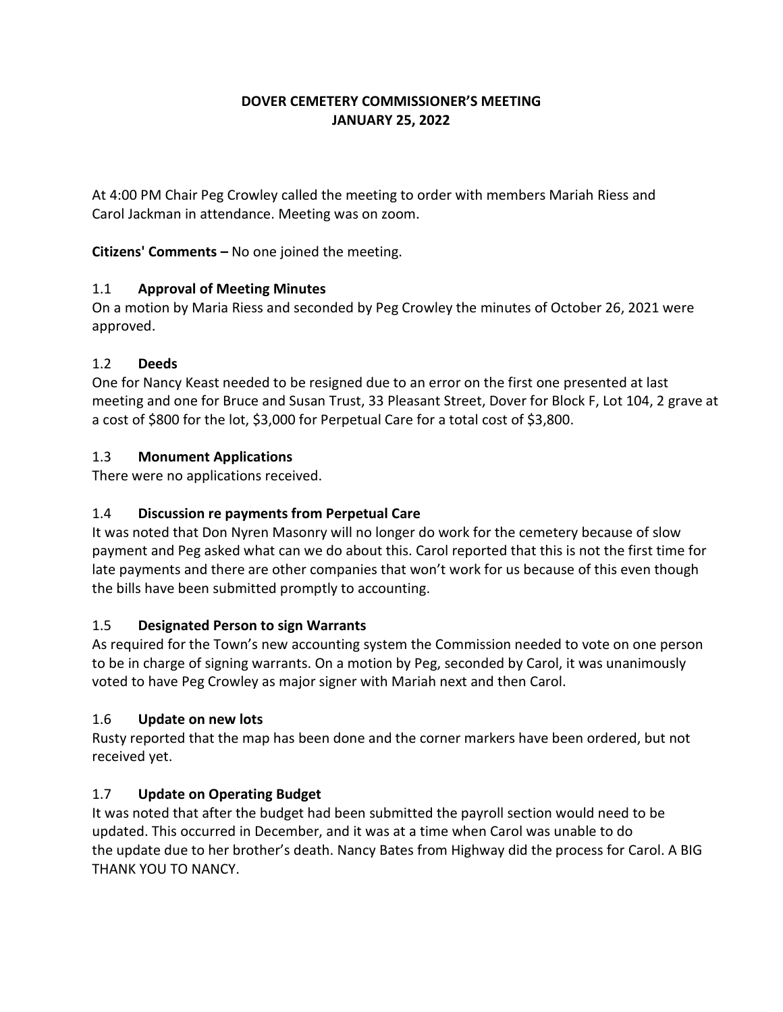## **DOVER CEMETERY COMMISSIONER'S MEETING JANUARY 25, 2022**

At 4:00 PM Chair Peg Crowley called the meeting to order with members Mariah Riess and Carol Jackman in attendance. Meeting was on zoom.

**Citizens' Comments –** No one joined the meeting.

## 1.1 **Approval of Meeting Minutes**

On a motion by Maria Riess and seconded by Peg Crowley the minutes of October 26, 2021 were approved.

### 1.2 **Deeds**

One for Nancy Keast needed to be resigned due to an error on the first one presented at last meeting and one for Bruce and Susan Trust, 33 Pleasant Street, Dover for Block F, Lot 104, 2 grave at a cost of \$800 for the lot, \$3,000 for Perpetual Care for a total cost of \$3,800.

## 1.3 **Monument Applications**

There were no applications received.

# 1.4 **Discussion re payments from Perpetual Care**

It was noted that Don Nyren Masonry will no longer do work for the cemetery because of slow payment and Peg asked what can we do about this. Carol reported that this is not the first time for late payments and there are other companies that won't work for us because of this even though the bills have been submitted promptly to accounting.

### 1.5 **Designated Person to sign Warrants**

As required for the Town's new accounting system the Commission needed to vote on one person to be in charge of signing warrants. On a motion by Peg, seconded by Carol, it was unanimously voted to have Peg Crowley as major signer with Mariah next and then Carol.

### 1.6 **Update on new lots**

Rusty reported that the map has been done and the corner markers have been ordered, but not received yet.

# 1.7 **Update on Operating Budget**

It was noted that after the budget had been submitted the payroll section would need to be updated. This occurred in December, and it was at a time when Carol was unable to do the update due to her brother's death. Nancy Bates from Highway did the process for Carol. A BIG THANK YOU TO NANCY.